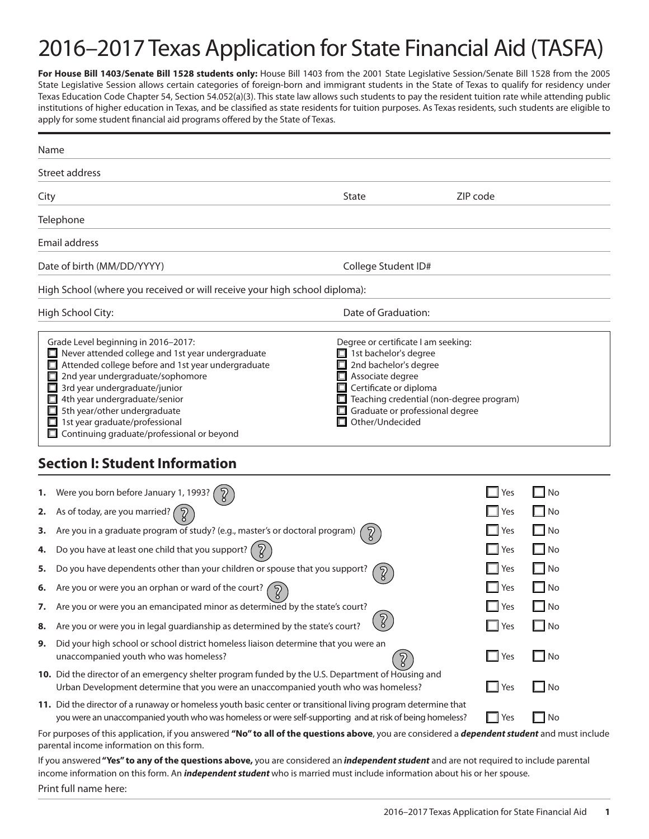# 2016–2017 Texas Application for State Financial Aid (TASFA)

For House Bill 1403/Senate Bill 1528 students only: House Bill 1403 from the 2001 State Legislative Session/Senate Bill 1528 from the 2005 State Legislative Session allows certain categories of foreign-born and immigrant students in the State of Texas to qualify for residency under Texas Education Code Chapter 54, Section 54.052(a)(3). This state law allows such students to pay the resident tuition rate while attending public institutions of higher education in Texas, and be classified as state residents for tuition purposes. As Texas residents, such students are eligible to apply for some student financial aid programs offered by the State of Texas.

| Name                                               |                                                                                                                                                                                                                                                                                                                                                                                                                                                                                                                                                                                                                                       |                                                                                                                                                                                                                                                     |                                                             |                                                                                               |
|----------------------------------------------------|---------------------------------------------------------------------------------------------------------------------------------------------------------------------------------------------------------------------------------------------------------------------------------------------------------------------------------------------------------------------------------------------------------------------------------------------------------------------------------------------------------------------------------------------------------------------------------------------------------------------------------------|-----------------------------------------------------------------------------------------------------------------------------------------------------------------------------------------------------------------------------------------------------|-------------------------------------------------------------|-----------------------------------------------------------------------------------------------|
|                                                    | Street address                                                                                                                                                                                                                                                                                                                                                                                                                                                                                                                                                                                                                        |                                                                                                                                                                                                                                                     |                                                             |                                                                                               |
| City                                               |                                                                                                                                                                                                                                                                                                                                                                                                                                                                                                                                                                                                                                       | State                                                                                                                                                                                                                                               | ZIP code                                                    |                                                                                               |
|                                                    | Telephone                                                                                                                                                                                                                                                                                                                                                                                                                                                                                                                                                                                                                             |                                                                                                                                                                                                                                                     |                                                             |                                                                                               |
|                                                    | Email address                                                                                                                                                                                                                                                                                                                                                                                                                                                                                                                                                                                                                         |                                                                                                                                                                                                                                                     |                                                             |                                                                                               |
|                                                    | Date of birth (MM/DD/YYYY)                                                                                                                                                                                                                                                                                                                                                                                                                                                                                                                                                                                                            | College Student ID#                                                                                                                                                                                                                                 |                                                             |                                                                                               |
|                                                    | High School (where you received or will receive your high school diploma):                                                                                                                                                                                                                                                                                                                                                                                                                                                                                                                                                            |                                                                                                                                                                                                                                                     |                                                             |                                                                                               |
|                                                    | High School City:                                                                                                                                                                                                                                                                                                                                                                                                                                                                                                                                                                                                                     | Date of Graduation:                                                                                                                                                                                                                                 |                                                             |                                                                                               |
|                                                    | Grade Level beginning in 2016-2017:<br>$\Box$ Never attended college and 1st year undergraduate<br>Attended college before and 1st year undergraduate<br>2nd year undergraduate/sophomore<br>3rd year undergraduate/junior<br>4th year undergraduate/senior<br>5th year/other undergraduate<br>$\Box$ 1st year graduate/professional<br>Continuing graduate/professional or beyond                                                                                                                                                                                                                                                    | Degree or certificate I am seeking:<br>$\Box$ 1st bachelor's degree<br>2nd bachelor's degree<br>$\Box$ Associate degree<br>Certificate or diploma<br>Teaching credential (non-degree program)<br>Graduate or professional degree<br>Other/Undecided |                                                             |                                                                                               |
|                                                    | <b>Section I: Student Information</b>                                                                                                                                                                                                                                                                                                                                                                                                                                                                                                                                                                                                 |                                                                                                                                                                                                                                                     |                                                             |                                                                                               |
| 1.<br>2.<br>3.<br>4.<br>5.<br>6.<br>7.<br>8.<br>9. | Were you born before January 1, 1993?<br>As of today, are you married? (<br>Are you in a graduate program of study? (e.g., master's or doctoral program)<br>Do you have at least one child that you support? $\left( \n\hat{Z} \right)$<br>Do you have dependents other than your children or spouse that you support?<br>Are you or were you an orphan or ward of the court?<br>Are you or were you an emancipated minor as determined by the state's court?<br>Are you or were you in legal guardianship as determined by the state's court?<br>Did your high school or school district homeless liaison determine that you were an | $\overline{c}$                                                                                                                                                                                                                                      | Yes<br>Yes<br>Yes<br>Yes<br>Yes<br>Yes<br>$\Box$ Yes<br>Yes | No<br>- 1<br>$\Box$ No<br>$\Box$ No<br>$\Box$ No<br>$\Box$ No<br>$\Box$ No<br>. I<br>No<br>No |
|                                                    | unaccompanied youth who was homeless?<br>10. Did the director of an emergency shelter program funded by the U.S. Department of Housing and<br>Urban Development determine that you were an unaccompanied youth who was homeless?<br>11. Did the director of a runaway or homeless youth basic center or transitional living program determine that                                                                                                                                                                                                                                                                                    | $\overline{2}$                                                                                                                                                                                                                                      | Yes<br>- I<br>$\Box$<br>Yes                                 | $\Box$ No<br>$\Box$ No                                                                        |
|                                                    | you were an unaccompanied youth who was homeless or were self-supporting and at risk of being homeless?<br>For purposes of this application, if you answered "No" to all of the questions above, you are considered a <i>dependent student</i> and must include<br>parental income information on this form.<br>If you answered "Yes" to any of the questions above, you are considered an independent student and are not required to include parental                                                                                                                                                                               |                                                                                                                                                                                                                                                     | ∣Yes                                                        | No<br>- 1                                                                                     |

income information on this form. An *independent student* who is married must include information about his or her spouse. Print full name here: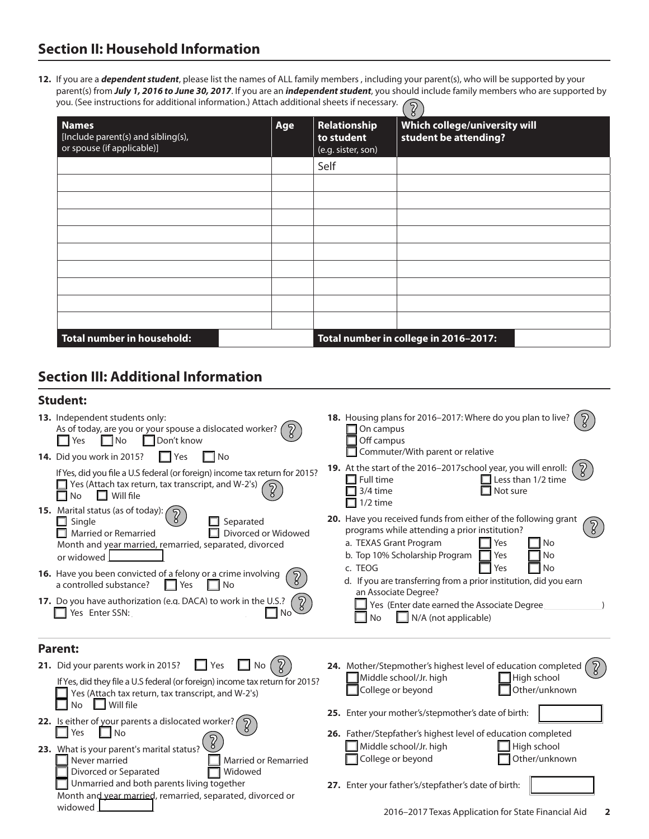**12.** If you are a *dependent student*, please list the names of ALL family members , including your parent(s), who will be supported by your parent(s) from *July 1, 2016 to June 30, 2017*. If you are an *independent student*, you should include family members who are supported by you. (See instructions for additional information.) Attach additional sheets if necessary.

| ō                                                                                |     |                                                  |                                                        |
|----------------------------------------------------------------------------------|-----|--------------------------------------------------|--------------------------------------------------------|
| <b>Names</b><br>[Include parent(s) and sibling(s),<br>or spouse (if applicable)] | Age | Relationship<br>to student<br>(e.g. sister, son) | Which college/university will<br>student be attending? |
|                                                                                  |     | Self                                             |                                                        |
|                                                                                  |     |                                                  |                                                        |
|                                                                                  |     |                                                  |                                                        |
|                                                                                  |     |                                                  |                                                        |
|                                                                                  |     |                                                  |                                                        |
|                                                                                  |     |                                                  |                                                        |
|                                                                                  |     |                                                  |                                                        |
|                                                                                  |     |                                                  |                                                        |
|                                                                                  |     |                                                  |                                                        |
|                                                                                  |     |                                                  |                                                        |
| Total number in household:                                                       |     |                                                  | Total number in college in 2016-2017:                  |

## **Section III: Additional Information**

#### **Student:**

| 13. Independent students only:                                                                                                                                                                                                                                                                                                                                                                                                                                                                                                                                        | 18. Housing plans for 2016-2017: Where do you plan to live?                                                                                                                                                                                                                                                                                                                                                                                                     |
|-----------------------------------------------------------------------------------------------------------------------------------------------------------------------------------------------------------------------------------------------------------------------------------------------------------------------------------------------------------------------------------------------------------------------------------------------------------------------------------------------------------------------------------------------------------------------|-----------------------------------------------------------------------------------------------------------------------------------------------------------------------------------------------------------------------------------------------------------------------------------------------------------------------------------------------------------------------------------------------------------------------------------------------------------------|
| As of today, are you or your spouse a dislocated worker? (                                                                                                                                                                                                                                                                                                                                                                                                                                                                                                            | On campus                                                                                                                                                                                                                                                                                                                                                                                                                                                       |
| $\square$ No                                                                                                                                                                                                                                                                                                                                                                                                                                                                                                                                                          | Off campus                                                                                                                                                                                                                                                                                                                                                                                                                                                      |
| $\Box$ Don't know                                                                                                                                                                                                                                                                                                                                                                                                                                                                                                                                                     | Commuter/With parent or relative                                                                                                                                                                                                                                                                                                                                                                                                                                |
| Yes                                                                                                                                                                                                                                                                                                                                                                                                                                                                                                                                                                   | 19. At the start of the 2016-2017school year, you will enroll:                                                                                                                                                                                                                                                                                                                                                                                                  |
| 14. Did you work in 2015?                                                                                                                                                                                                                                                                                                                                                                                                                                                                                                                                             | $\Box$ Less than 1/2 time                                                                                                                                                                                                                                                                                                                                                                                                                                       |
| $\Box$ No                                                                                                                                                                                                                                                                                                                                                                                                                                                                                                                                                             | $\Box$ Full time                                                                                                                                                                                                                                                                                                                                                                                                                                                |
| l lYes                                                                                                                                                                                                                                                                                                                                                                                                                                                                                                                                                                | 3/4 time                                                                                                                                                                                                                                                                                                                                                                                                                                                        |
| If Yes, did you file a U.S federal (or foreign) income tax return for 2015?                                                                                                                                                                                                                                                                                                                                                                                                                                                                                           | Not sure                                                                                                                                                                                                                                                                                                                                                                                                                                                        |
| $\Box$ Yes (Attach tax return, tax transcript, and W-2's)                                                                                                                                                                                                                                                                                                                                                                                                                                                                                                             | $1/2$ time                                                                                                                                                                                                                                                                                                                                                                                                                                                      |
| $\Box$ Will file                                                                                                                                                                                                                                                                                                                                                                                                                                                                                                                                                      | 20. Have you received funds from either of the following grant                                                                                                                                                                                                                                                                                                                                                                                                  |
| <b>No</b>                                                                                                                                                                                                                                                                                                                                                                                                                                                                                                                                                             | programs while attending a prior institution?                                                                                                                                                                                                                                                                                                                                                                                                                   |
| <b>15.</b> Marital status (as of today):                                                                                                                                                                                                                                                                                                                                                                                                                                                                                                                              | a. TEXAS Grant Program                                                                                                                                                                                                                                                                                                                                                                                                                                          |
| $\Box$ Single                                                                                                                                                                                                                                                                                                                                                                                                                                                                                                                                                         | Yes                                                                                                                                                                                                                                                                                                                                                                                                                                                             |
| Separated                                                                                                                                                                                                                                                                                                                                                                                                                                                                                                                                                             | l No                                                                                                                                                                                                                                                                                                                                                                                                                                                            |
| Divorced or Widowed                                                                                                                                                                                                                                                                                                                                                                                                                                                                                                                                                   | b. Top 10% Scholarship Program                                                                                                                                                                                                                                                                                                                                                                                                                                  |
| $\Box$ Married or Remarried                                                                                                                                                                                                                                                                                                                                                                                                                                                                                                                                           | Yes                                                                                                                                                                                                                                                                                                                                                                                                                                                             |
| Month and year married, remarried, separated, divorced                                                                                                                                                                                                                                                                                                                                                                                                                                                                                                                | <b>No</b>                                                                                                                                                                                                                                                                                                                                                                                                                                                       |
| or widowed                                                                                                                                                                                                                                                                                                                                                                                                                                                                                                                                                            | c. TEOG                                                                                                                                                                                                                                                                                                                                                                                                                                                         |
| 16. Have you been convicted of a felony or a crime involving                                                                                                                                                                                                                                                                                                                                                                                                                                                                                                          | Yes                                                                                                                                                                                                                                                                                                                                                                                                                                                             |
| a controlled substance?                                                                                                                                                                                                                                                                                                                                                                                                                                                                                                                                               | <b>No</b>                                                                                                                                                                                                                                                                                                                                                                                                                                                       |
| Yes                                                                                                                                                                                                                                                                                                                                                                                                                                                                                                                                                                   | d. If you are transferring from a prior institution, did you earn                                                                                                                                                                                                                                                                                                                                                                                               |
| No                                                                                                                                                                                                                                                                                                                                                                                                                                                                                                                                                                    | an Associate Degree?                                                                                                                                                                                                                                                                                                                                                                                                                                            |
| 17. Do you have authorization (e.g. DACA) to work in the U.S.?                                                                                                                                                                                                                                                                                                                                                                                                                                                                                                        | Yes (Enter date earned the Associate Degree)                                                                                                                                                                                                                                                                                                                                                                                                                    |
| Yes Enter SSN:                                                                                                                                                                                                                                                                                                                                                                                                                                                                                                                                                        | N/A (not applicable)                                                                                                                                                                                                                                                                                                                                                                                                                                            |
| No <sup>1</sup>                                                                                                                                                                                                                                                                                                                                                                                                                                                                                                                                                       | <b>No</b>                                                                                                                                                                                                                                                                                                                                                                                                                                                       |
| <b>Parent:</b><br>21. Did your parents work in 2015?<br>Yes<br>$\Box$ No<br>If Yes, did they file a U.S federal (or foreign) income tax return for 2015?<br>Yes (Attach tax return, tax transcript, and W-2's)<br>Will file<br>No.<br>22. Is either of your parents a dislocated worker? (<br>$\Box$ No<br>Yes<br>23. What is your parent's marital status?<br>Never married<br><b>Married or Remarried</b><br>Divorced or Separated<br>Widowed<br>Unmarried and both parents living together<br>Month and year married, remarried, separated, divorced or<br>widowed | 24. Mother/Stepmother's highest level of education completed<br>Middle school/Jr. high<br>High school<br>Other/unknown<br>College or beyond<br>25. Enter your mother's/stepmother's date of birth:<br>26. Father/Stepfather's highest level of education completed<br>Middle school/Jr. high<br>High school<br>College or beyond<br>Other/unknown<br>27. Enter your father's/stepfather's date of birth:<br>2016-2017 Texas Application for State Financial Aid |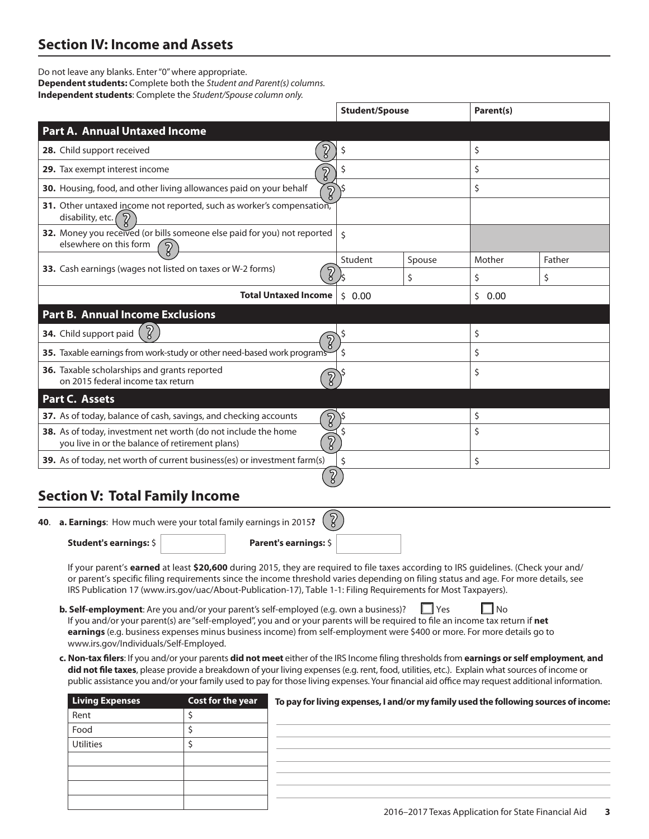## **Section IV: Income and Assets**

Do not leave any blanks. Enter "0" where appropriate. **Dependent students:** Complete both the *Student and Parent(s) columns.*  **Independent students**: Complete the *Student/Spouse column only.*

|                                                                                                                     |                             | <b>Student/Spouse</b> |        | Parent(s)  |        |
|---------------------------------------------------------------------------------------------------------------------|-----------------------------|-----------------------|--------|------------|--------|
| <b>Part A. Annual Untaxed Income</b>                                                                                |                             |                       |        |            |        |
| 28. Child support received                                                                                          |                             | \$                    |        | \$         |        |
| 29. Tax exempt interest income                                                                                      | Z                           |                       |        | \$         |        |
| 30. Housing, food, and other living allowances paid on your behalf                                                  | $\sqrt{2}$                  |                       |        | \$         |        |
| 31. Other untaxed income not reported, such as worker's compensation,<br>disability, etc. (                         |                             |                       |        |            |        |
| 32. Money you received (or bills someone else paid for you) not reported<br>elsewhere on this form<br>$\mathcal{D}$ |                             | \$                    |        |            |        |
|                                                                                                                     |                             | Student               | Spouse | Mother     | Father |
| 33. Cash earnings (wages not listed on taxes or W-2 forms)                                                          | $\overline{2}$              |                       | \$     | \$         | \$     |
|                                                                                                                     | <b>Total Untaxed Income</b> | 0.00<br>Ś.            |        | 0.00<br>Ś. |        |
| <b>Part B. Annual Income Exclusions</b>                                                                             |                             |                       |        |            |        |
| $\left[\begin{smallmatrix}2\end{smallmatrix}\right]$<br>34. Child support paid                                      | ႒                           | \$                    |        | \$         |        |
| 35. Taxable earnings from work-study or other need-based work programs                                              |                             |                       |        | \$         |        |
| 36. Taxable scholarships and grants reported<br>on 2015 federal income tax return                                   | $\sqrt{2}$                  |                       |        | \$         |        |
| Part C. Assets                                                                                                      |                             |                       |        |            |        |
| 37. As of today, balance of cash, savings, and checking accounts                                                    | $\overline{2}$              |                       |        | \$         |        |
| 38. As of today, investment net worth (do not include the home<br>you live in or the balance of retirement plans)   | ์จู                         |                       |        | \$         |        |
| 39. As of today, net worth of current business(es) or investment farm(s)                                            |                             | \$                    |        | \$         |        |
|                                                                                                                     |                             |                       |        |            |        |
| <b>Section V: Total Family Income</b>                                                                               |                             |                       |        |            |        |
| 40. a. Earnings: How much were your total family earnings in 2015?                                                  | $\sqrt{3}$                  |                       |        |            |        |
| <b>Student's earnings: S</b>                                                                                        | Parent's earnings: \$       |                       |        |            |        |

If your parent's **earned** at least **\$20,600** during 2015, they are required to file taxes according to IRS guidelines. (Check your and/ or parent's specific filing requirements since the income threshold varies depending on filing status and age. For more details, see IRS Publication 17 (www.irs.gov/uac/About-Publication-17), Table 1-1: Filing Requirements for Most Taxpayers).

**b. Self-employment**: Are you and/or your parent's self-employed (e.g. own a business)? If you and/or your parent(s) are "self-employed", you and or your parents will be required to file an income tax return if **net earnings** (e.g. business expenses minus business income) from self-employment were \$400 or more. For more details go to www.irs.gov/Individuals/Self-Employed.

**c. Non-tax filers**: If you and/or your parents **did not meet** either of the IRS Income filing thresholds from **earnings or self employment**, **and did not file taxes**, please provide a breakdown of your living expenses (e.g. rent, food, utilities, etc.). Explain what sources of income or public assistance you and/or your family used to pay for those living expenses. Your financial aid office may request additional information.

| <b>Living Expenses</b> | Cost for the year | To pay for living expenses, I and/or my family used the following sources of income: |
|------------------------|-------------------|--------------------------------------------------------------------------------------|
| Rent                   |                   |                                                                                      |
| Food                   |                   |                                                                                      |
| <b>Utilities</b>       |                   |                                                                                      |
|                        |                   |                                                                                      |
|                        |                   |                                                                                      |
|                        |                   |                                                                                      |
|                        |                   |                                                                                      |